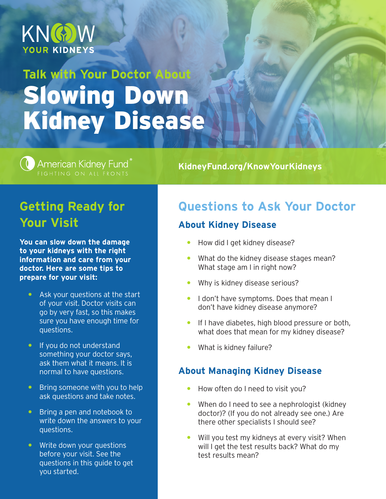

# **Talk with Your Doctor About** Slowing Down Kidney Disease

# American Kidney Fund

**KidneyFund.org/KnowYourKidneys**

## **Getting Ready for Your Visit**

**You can slow down the damage to your kidneys with the right information and care from your doctor. Here are some tips to prepare for your visit:**

- $\bullet$  Ask your questions at the start of your visit. Doctor visits can go by very fast, so this makes sure you have enough time for questions.
- If you do not understand something your doctor says, ask them what it means. It is normal to have questions.
- **Bring someone with you to help** ask questions and take notes.
- Bring a pen and notebook to write down the answers to your questions.
- Write down your questions before your visit. See the questions in this guide to get you started.

## **Questions to Ask Your Doctor**

## **About Kidney Disease**

- How did I get kidney disease?
- What do the kidney disease stages mean? What stage am I in right now?
- Why is kidney disease serious?
- **I don't have symptoms. Does that mean I** don't have kidney disease anymore?
- **If I have diabetes, high blood pressure or both,** what does that mean for my kidney disease?
- y What is kidney failure?

## **About Managing Kidney Disease**

- How often do I need to visit you?
- When do I need to see a nephrologist (kidney doctor)? (If you do not already see one.) Are there other specialists I should see?
- $\bullet$  Will you test my kidneys at every visit? When will I get the test results back? What do my test results mean?